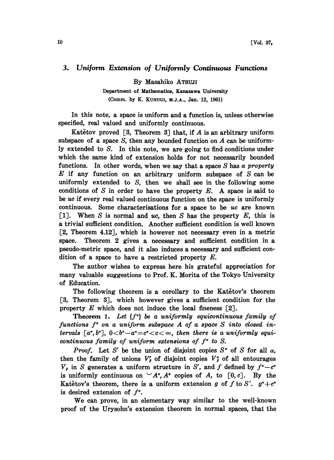## 3. Uniform Extension of Uniformly Continuous Functions

By Masahiko ATSUJ

Department of Mathematics, Kanazawa University (Comm. by K. KUNUG, M.J.A., Jan. 12, 1961)

In this note, a space is uniform and a function is, unless otherwise specified, real valued and uniformly continuous.

Katětov proved  $\lceil 3 \rceil$ . Theorem 3 $\lceil 3 \rceil$  that, if A is an arbitrary uniform subspace of a space  $S$ , then any bounded function on  $A$  can be uniformly extended to S. In this note, we are going to find conditions under which the same kind of extension holds for not necessarily bounded functions. In other words, when we say that a space  $S$  has a property  $E$  if any function on an arbitrary uniform subspace of  $S$  can be uniformly extended to  $S$ , then we shall see in the following some conditions of S in order to have the property  $E$ . A space is said to be  $uc$  if every real valued continuous function on the space is uniformly continuous. Some characterisations for a space to be  $uc$  are known [1]. When S is normal and uc, then S has the property  $E$ , this is a trivial sufficient condition. Another sufficient condition is well known [2, Theorem 4.12], which is however not necessary even in a metric space. Theorem 2 gives a necessary and sufficient condition in a pseudo-metric space, and it also induces a necessary and sufficient dition of a space to have a restricted property  $E$ .

The author wishes to express here his grateful appreciation for many valuable suggestions to Prof. K. Morita of the Tokyo University of Education.

The following theorem is a corollary to the Katetov's theorem [3, Theorem 3], which however gives a sufficient condition for the property  $E$  which does not induce the local fineness  $\lceil 2 \rceil$ .

**Theorem 1.** Let  $\{f^a\}$  be a uniformly equicontinuous family of functions  $f^*$  on a uniform subspace  $A$  of a space  $S$  into closed intervals  $[a^a, b^a]$ ,  $0 < b^a - a^a = c^a < c < \infty$ , then there is a uniformly equicontinuous family of uniform extensions of  $f^*$  to S.

*Proof.* Let S' be the union of disjoint copies  $S^{\alpha}$  of S for all  $\alpha$ , then the family of unions  $V'_\beta$  of disjoint copies  $V^{\alpha}_{\beta}$  of all entourages  $V_{\beta}$  in S generates a uniform structure in S', and f defined by  $f^{\alpha}-c^{\alpha}$ is uniformly continuous on  $\vee A^*$ ,  $A^*$  copies of A, to  $[0, c]$ . By the Katětov's theorem, there is a uniform extension g of f to S'.  $g^{\alpha} + c^{\alpha}$ is desired extension of  $f^*$ .

We can prove, in an elementary way similar to the well-known proof of the Urysohn's extension theorem in normal spaces, that the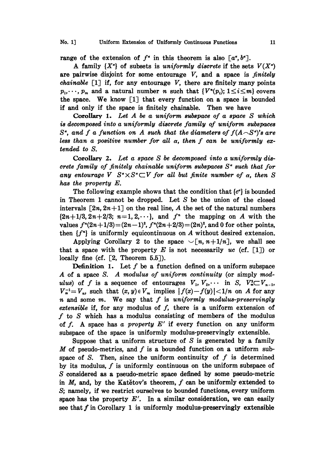range of the extension of  $f^*$  in this theorem is also  $[a^{\alpha},b^{\alpha}]$ .

A family  $\{X^{\alpha}\}\$  of subsets is uniformly discrete if the sets  $V(X^{\alpha})$ are pairwise disjoint for some entourage  $V$ , and a space is *finitely* chainable  $[1]$  if, for any entourage V, there are finitely many points  $p_1, \dots, p_m$  and a natural number n such that  $\{V^n(p_i); 1 \leq i \leq m\}$  covers the space. We know [1] that every function on <sup>a</sup> space is bounded if and only if the space is finitely chainable. Then we have

Corollary 1. Let  $A$  be a uniform subspace of a space  $S$  which is decomposed into a uniformly discrete family of uniform subspaces  $S^{\alpha}$ , and f a function on A such that the diameters of  $f(A\setminus S^{\alpha})$ 's are less than a positive number for all  $\alpha$ , then f can be uniformly extended to S.

Corollary 2. Let a space S be decomposed into a uniformly discrete family of finitely chainable uniform subspaces  $S^*$  such that for any entourage V  $S^{\alpha} \times S^{\alpha} \subset V$  for all but finite number of  $\alpha$ , then S has the property E.

The following example shows that the condition that  $\{c^{\alpha}\}\$ is bounded in Theorem <sup>1</sup> cannot be dropped. Let S be the union of the closed intervals  $[2n, 2n+1]$  on the real line, A the set of the natural numbers  $\{2n+1/3,2n+2/3; n=1,2,\cdots\}$ , and  $f^n$  the mapping on A with the values  $f''(2n+1/3) = (2n-1)^2$ ,  $f''(2n+2/3) = (2n)^2$ , and 0 for other points, then  $\{f^n\}$  is uniformly equicontinuous on A without desired extension.

Applying Corollary 2 to the space  $\sqrt[n]{n+1/n}$ , we shall see that a space with the property E is not necessarily uc (cf. [1]) or locally fine (cf.  $[2,$  Theorem 5.5]).

**Definition 1.** Let  $f$  be a function defined on a uniform subspace A of <sup>a</sup> space S. A modulus of uniform continuity (or simply modulus) of f is a sequence of entourages  $V_1, V_2, \cdots$  in S,  $V_n^2 \subset V_{n-1}$ ,  $V_n^{-1} = V_n$ , such that  $(x, y) \in V_m$  implies  $|f(x)-f(y)| < 1/n$  on A for any  $n$  and some  $m$ . We say that  $f$  is uniformly modulus-preservingly extensible if, for any modulus of  $f$ , there is a uniform extension of  $f$  to  $S$  which has a modulus consisting of members of the modulus of f. A space has a property  $E'$  if every function on any uniform subspace of. the space is uniformly modulus-preservingly extensible.

Suppose that a uniform structure of  $S$  is generated by a family M of pseudo-metrics, and  $f$  is a bounded function on a uniform subspace of S. Then, since the uniform continuity of  $f$  is determined by its modulus,  $f$  is uniformly continuous on the uniform subspace of S considered as a pseudo-metric space defined by some pseudo-metric in  $M$ , and, by the Katetov's theorem,  $f$  can be uniformly extended to S; namely, if we restrict ourselves to bounded functions, every uniform space has the property  $E'$ . In a similar consideration, we can easily see that  $f$  in Corollary 1 is uniformly modulus-preservingly extensible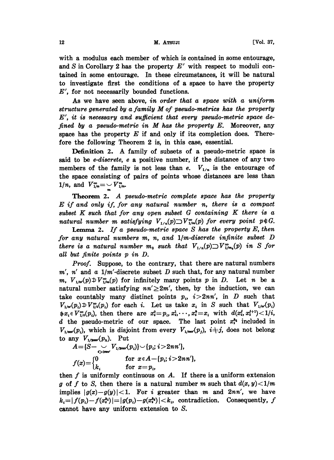## 12 M. ATSUJI [Vol. 37,

with a modulus each member of which is contained in some entourage, and S in Corollary 2 has the property  $E'$  with respect to moduli contained in some entourage. In these circumstances, it will be natural to investigate first the conditions of a space to have the property  $E'$ , for not necessarily bounded functions.

As we have seen above, in order that a space with a uniform structure generated by a family  $M$  of pseudo-metrics has the property  $E'$ , it is necessary and sufficient that every pseudo-metric space defined by a pseudo-metric in  $M$  has the property  $E$ . Moreover, any space has the property  $E$  if and only if its completion does. Therefore the following Theorem 2 is, in this case, essential.

Definition 2. A family of subsets of <sup>a</sup> pseudo-metric space is said to be e-discrete, e a positive number, if the distance of any two members of the family is not less than e.  $V_{1/n}$  is the entourage of the space consisting of pairs of points whose distances are less than 1/*n*, and  $V_{1/n}^{\infty} = \bigcup_{m} V_{1/n}^{m}$ .

Theorem 2. A pseudo-metric complete space has the property  $E$  if and only if, for any natural number n, there is a compact subset K such that for any open subset  $G$  containing K there is a natural number m satisfying  $V_{1/n}(p) \supset V_{1/m}^{\infty}(p)$  for every point  $p \notin G$ .

**Lemma 2.** If a pseudo-metric space  $S$  has the property  $E$ , then for any natural numbers  $m$ ,  $n$ , and  $1/m$ -discrete infinite subset  $D$ there is a natural number  $m_0$  such that  $V_{1/n}(p) \supset V_{1/m_0}(p)$  in S for all but finite points p in D.

Proof. Suppose, to the contrary, that there are natural numbers  $m'$ , n' and a  $1/m'$ -discrete subset D such that, for any natural number m,  $V_{1/m}(p) \oplus V_{1/m}^{\infty}(p)$  for infinitely many points p in D. Let n be a natural number satisfying  $nn' \geq 2m'$ , then, by the induction, we can take countably many distinct points  $p_i$ ,  $i>2nn'$ , in D such that  $V_{1/m}(p_i) \oplus V_{1/n}^{\infty}(p_i)$  for each i. Let us take  $x_i$  in S such that  $V_{1/m}(p_i)$  $\#x_i \in V^{\infty}_{1/4}(p_i)$ , then there are  $x_i^0=p_i, x_i^1, \dots, x_i^k=x_i$  with  $d(x_i^i, x_i^{j+1}) < 1/i$ , d the pseudo-metric of our space. The last point  $x_i^{k_i}$  included in  $V_{1/m}(p_i)$ , which is disjoint from every  $V_{1/m}(p_j)$ ,  $i+j$ , does not belong to any  $V_{1/2m\nu}(p_h)$ . Put

$$
A = \{S - \bigcup_{i > 2mn'} V_{1/2mn'}(p_i)\} \setminus \{p_i; i > 2nn'\},
$$
  

$$
f(x) = \begin{cases} 0 & \text{for } x \in A - \{p_i; i > 2nn'\}, \\ k_i & \text{for } x = p_i, \end{cases}
$$

then  $f$  is uniformly continuous on  $A$ . If there is a uniform extension g of f to S, then there is a natural number m such that  $d(x, y) < 1/m$ implies  $|g(x)-g(y)|<1$ . For i greater than m and  $2nn'$ , we have  $k_i = |f(p_i)-f(x_i^{k_i})| = |g(p_i)-g(x_i^{k_i})| < k_i$ , contradiction. Consequently, f cannot have any uniform extension to S.